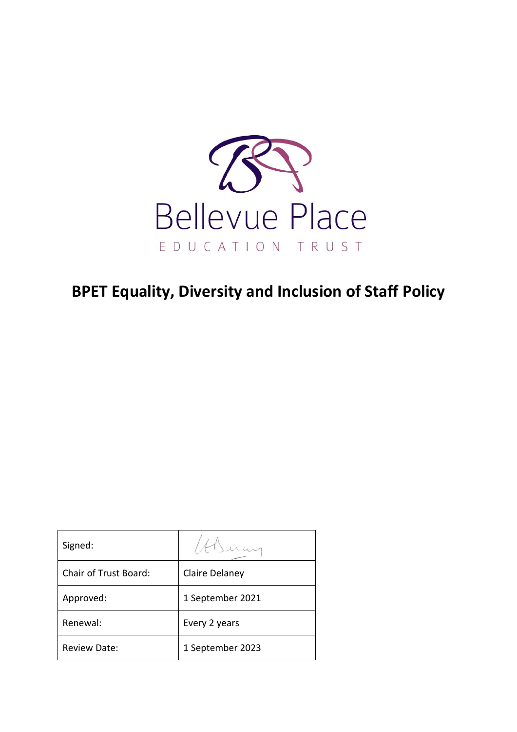

# **BPET Equality, Diversity and Inclusion of Staff Policy**

| Signed:                      |                  |
|------------------------------|------------------|
| <b>Chair of Trust Board:</b> | Claire Delaney   |
| Approved:                    | 1 September 2021 |
| Renewal:                     | Every 2 years    |
| <b>Review Date:</b>          | 1 September 2023 |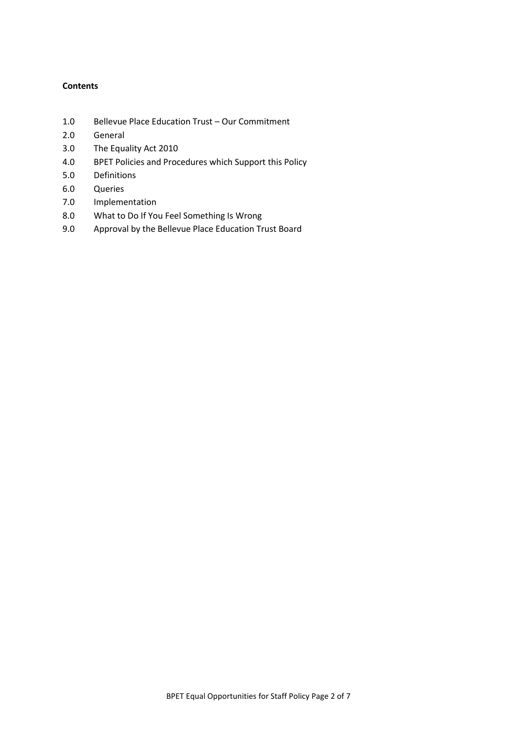# **Contents**

- 1.0 Bellevue Place Education Trust Our Commitment
- 2.0 General
- 3.0 The Equality Act 2010
- 4.0 BPET Policies and Procedures which Support this Policy
- 5.0 Definitions
- 6.0 Queries
- 7.0 Implementation
- 8.0 What to Do If You Feel Something Is Wrong
- 9.0 Approval by the Bellevue Place Education Trust Board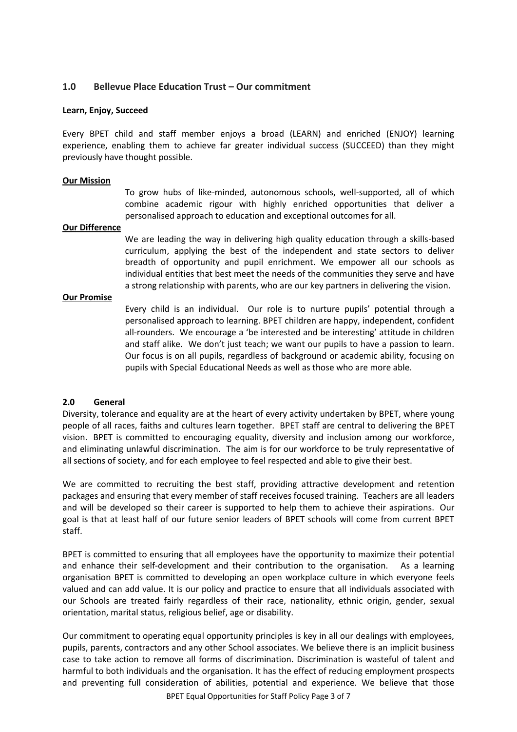## **1.0 Bellevue Place Education Trust – Our commitment**

#### **Learn, Enjoy, Succeed**

Every BPET child and staff member enjoys a broad (LEARN) and enriched (ENJOY) learning experience, enabling them to achieve far greater individual success (SUCCEED) than they might previously have thought possible.

#### **Our Mission**

To grow hubs of like-minded, autonomous schools, well-supported, all of which combine academic rigour with highly enriched opportunities that deliver a personalised approach to education and exceptional outcomes for all.

#### **Our Difference**

We are leading the way in delivering high quality education through a skills-based curriculum, applying the best of the independent and state sectors to deliver breadth of opportunity and pupil enrichment. We empower all our schools as individual entities that best meet the needs of the communities they serve and have a strong relationship with parents, who are our key partners in delivering the vision.

#### **Our Promise**

Every child is an individual. Our role is to nurture pupils' potential through a personalised approach to learning. BPET children are happy, independent, confident all-rounders. We encourage a 'be interested and be interesting' attitude in children and staff alike. We don't just teach; we want our pupils to have a passion to learn. Our focus is on all pupils, regardless of background or academic ability, focusing on pupils with Special Educational Needs as well as those who are more able.

## **2.0 General**

Diversity, tolerance and equality are at the heart of every activity undertaken by BPET, where young people of all races, faiths and cultures learn together. BPET staff are central to delivering the BPET vision. BPET is committed to encouraging equality, diversity and inclusion among our workforce, and eliminating unlawful discrimination. The aim is for our workforce to be truly representative of all sections of society, and for each employee to feel respected and able to give their best.

We are committed to recruiting the best staff, providing attractive development and retention packages and ensuring that every member of staff receives focused training. Teachers are all leaders and will be developed so their career is supported to help them to achieve their aspirations. Our goal is that at least half of our future senior leaders of BPET schools will come from current BPET staff.

BPET is committed to ensuring that all employees have the opportunity to maximize their potential and enhance their self-development and their contribution to the organisation. As a learning organisation BPET is committed to developing an open workplace culture in which everyone feels valued and can add value. It is our policy and practice to ensure that all individuals associated with our Schools are treated fairly regardless of their race, nationality, ethnic origin, gender, sexual orientation, marital status, religious belief, age or disability.

Our commitment to operating equal opportunity principles is key in all our dealings with employees, pupils, parents, contractors and any other School associates. We believe there is an implicit business case to take action to remove all forms of discrimination. Discrimination is wasteful of talent and harmful to both individuals and the organisation. It has the effect of reducing employment prospects and preventing full consideration of abilities, potential and experience. We believe that those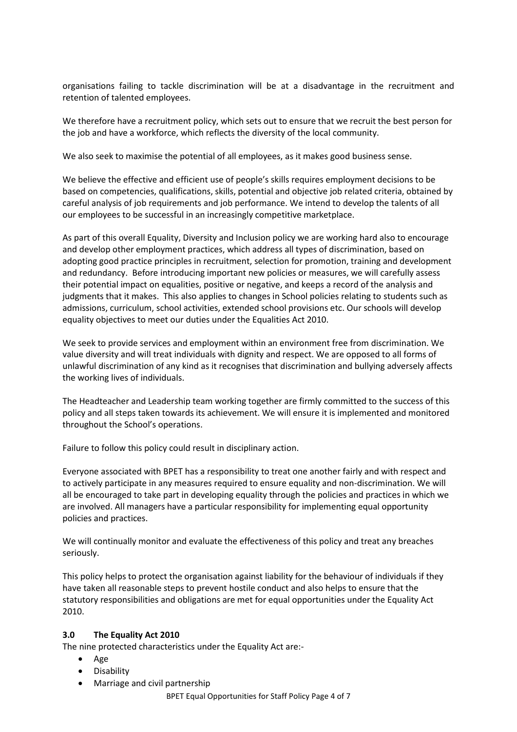organisations failing to tackle discrimination will be at a disadvantage in the recruitment and retention of talented employees.

We therefore have a recruitment policy, which sets out to ensure that we recruit the best person for the job and have a workforce, which reflects the diversity of the local community.

We also seek to maximise the potential of all employees, as it makes good business sense.

We believe the effective and efficient use of people's skills requires employment decisions to be based on competencies, qualifications, skills, potential and objective job related criteria, obtained by careful analysis of job requirements and job performance. We intend to develop the talents of all our employees to be successful in an increasingly competitive marketplace.

As part of this overall Equality, Diversity and Inclusion policy we are working hard also to encourage and develop other employment practices, which address all types of discrimination, based on adopting good practice principles in recruitment, selection for promotion, training and development and redundancy. Before introducing important new policies or measures, we will carefully assess their potential impact on equalities, positive or negative, and keeps a record of the analysis and judgments that it makes. This also applies to changes in School policies relating to students such as admissions, curriculum, school activities, extended school provisions etc. Our schools will develop equality objectives to meet our duties under the Equalities Act 2010.

We seek to provide services and employment within an environment free from discrimination. We value diversity and will treat individuals with dignity and respect. We are opposed to all forms of unlawful discrimination of any kind as it recognises that discrimination and bullying adversely affects the working lives of individuals.

The Headteacher and Leadership team working together are firmly committed to the success of this policy and all steps taken towards its achievement. We will ensure it is implemented and monitored throughout the School's operations.

Failure to follow this policy could result in disciplinary action.

Everyone associated with BPET has a responsibility to treat one another fairly and with respect and to actively participate in any measures required to ensure equality and non-discrimination. We will all be encouraged to take part in developing equality through the policies and practices in which we are involved. All managers have a particular responsibility for implementing equal opportunity policies and practices.

We will continually monitor and evaluate the effectiveness of this policy and treat any breaches seriously.

This policy helps to protect the organisation against liability for the behaviour of individuals if they have taken all reasonable steps to prevent hostile conduct and also helps to ensure that the statutory responsibilities and obligations are met for equal opportunities under the Equality Act 2010.

## **3.0 The Equality Act 2010**

The nine protected characteristics under the Equality Act are:-

- Age
- Disability
- Marriage and civil partnership

BPET Equal Opportunities for Staff Policy Page 4 of 7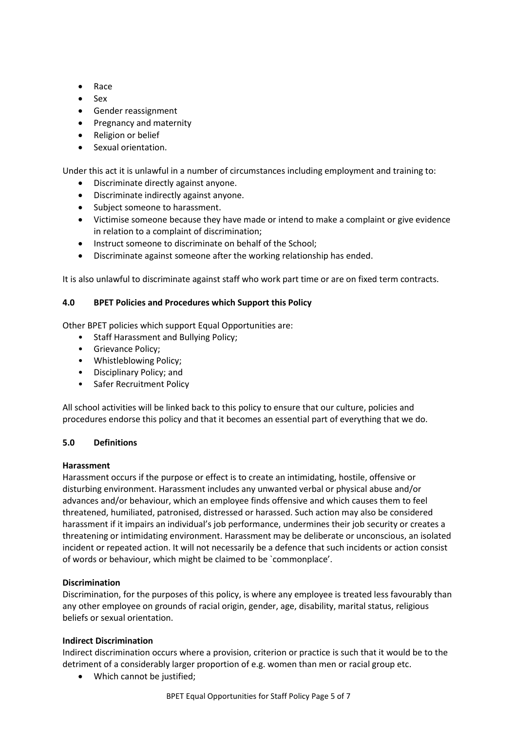- Race
- Sex
- Gender reassignment
- Pregnancy and maternity
- Religion or belief
- Sexual orientation.

Under this act it is unlawful in a number of circumstances including employment and training to:

- Discriminate directly against anyone.
- Discriminate indirectly against anyone.
- Subject someone to harassment.
- Victimise someone because they have made or intend to make a complaint or give evidence in relation to a complaint of discrimination;
- Instruct someone to discriminate on behalf of the School;
- Discriminate against someone after the working relationship has ended.

It is also unlawful to discriminate against staff who work part time or are on fixed term contracts.

## **4.0 BPET Policies and Procedures which Support this Policy**

Other BPET policies which support Equal Opportunities are:

- Staff Harassment and Bullying Policy;
- Grievance Policy;
- Whistleblowing Policy;
- Disciplinary Policy; and
- Safer Recruitment Policy

All school activities will be linked back to this policy to ensure that our culture, policies and procedures endorse this policy and that it becomes an essential part of everything that we do.

## **5.0 Definitions**

## **Harassment**

Harassment occurs if the purpose or effect is to create an intimidating, hostile, offensive or disturbing environment. Harassment includes any unwanted verbal or physical abuse and/or advances and/or behaviour, which an employee finds offensive and which causes them to feel threatened, humiliated, patronised, distressed or harassed. Such action may also be considered harassment if it impairs an individual's job performance, undermines their job security or creates a threatening or intimidating environment. Harassment may be deliberate or unconscious, an isolated incident or repeated action. It will not necessarily be a defence that such incidents or action consist of words or behaviour, which might be claimed to be `commonplace'.

## **Discrimination**

Discrimination, for the purposes of this policy, is where any employee is treated less favourably than any other employee on grounds of racial origin, gender, age, disability, marital status, religious beliefs or sexual orientation.

# **Indirect Discrimination**

Indirect discrimination occurs where a provision, criterion or practice is such that it would be to the detriment of a considerably larger proportion of e.g. women than men or racial group etc.

• Which cannot be justified;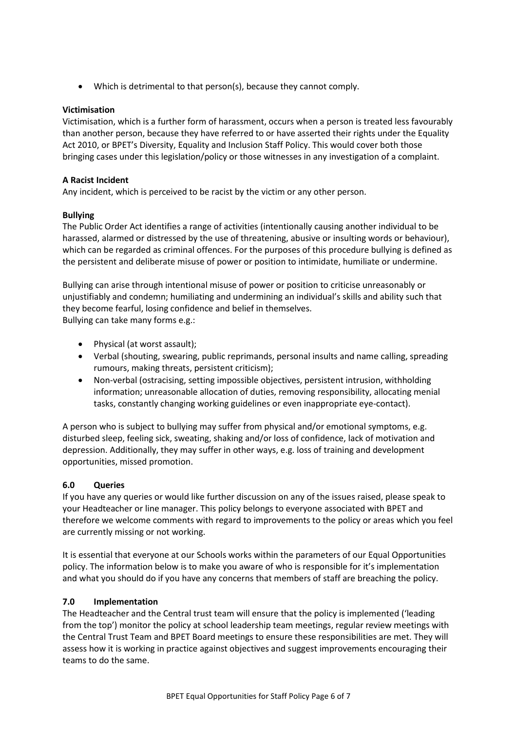• Which is detrimental to that person(s), because they cannot comply.

## **Victimisation**

Victimisation, which is a further form of harassment, occurs when a person is treated less favourably than another person, because they have referred to or have asserted their rights under the Equality Act 2010, or BPET's Diversity, Equality and Inclusion Staff Policy. This would cover both those bringing cases under this legislation/policy or those witnesses in any investigation of a complaint.

## **A Racist Incident**

Any incident, which is perceived to be racist by the victim or any other person.

## **Bullying**

The Public Order Act identifies a range of activities (intentionally causing another individual to be harassed, alarmed or distressed by the use of threatening, abusive or insulting words or behaviour), which can be regarded as criminal offences. For the purposes of this procedure bullying is defined as the persistent and deliberate misuse of power or position to intimidate, humiliate or undermine.

Bullying can arise through intentional misuse of power or position to criticise unreasonably or unjustifiably and condemn; humiliating and undermining an individual's skills and ability such that they become fearful, losing confidence and belief in themselves. Bullying can take many forms e.g.:

- Physical (at worst assault);
- Verbal (shouting, swearing, public reprimands, personal insults and name calling, spreading rumours, making threats, persistent criticism);
- Non-verbal (ostracising, setting impossible objectives, persistent intrusion, withholding information; unreasonable allocation of duties, removing responsibility, allocating menial tasks, constantly changing working guidelines or even inappropriate eye-contact).

A person who is subject to bullying may suffer from physical and/or emotional symptoms, e.g. disturbed sleep, feeling sick, sweating, shaking and/or loss of confidence, lack of motivation and depression. Additionally, they may suffer in other ways, e.g. loss of training and development opportunities, missed promotion.

# **6.0 Queries**

If you have any queries or would like further discussion on any of the issues raised, please speak to your Headteacher or line manager. This policy belongs to everyone associated with BPET and therefore we welcome comments with regard to improvements to the policy or areas which you feel are currently missing or not working.

It is essential that everyone at our Schools works within the parameters of our Equal Opportunities policy. The information below is to make you aware of who is responsible for it's implementation and what you should do if you have any concerns that members of staff are breaching the policy.

## **7.0 Implementation**

The Headteacher and the Central trust team will ensure that the policy is implemented ('leading from the top') monitor the policy at school leadership team meetings, regular review meetings with the Central Trust Team and BPET Board meetings to ensure these responsibilities are met. They will assess how it is working in practice against objectives and suggest improvements encouraging their teams to do the same.